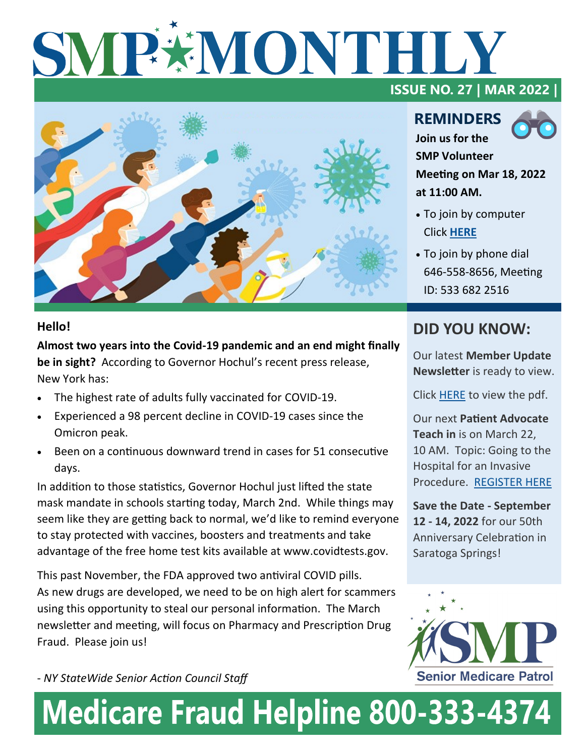# SMP#MONTHLY **ISSUE NO. 27 | MAR 2022 |**



### **Hello!**

**Almost two years into the Covid-19 pandemic and an end might finally be in sight?** According to Governor Hochul's recent press release, New York has:

- The highest rate of adults fully vaccinated for COVID-19.
- Experienced a 98 percent decline in COVID-19 cases since the Omicron peak.
- Been on a continuous downward trend in cases for 51 consecutive days.

In addition to those statistics, Governor Hochul just lifted the state mask mandate in schools starting today, March 2nd. While things may seem like they are getting back to normal, we'd like to remind everyone to stay protected with vaccines, boosters and treatments and take advantage of the free home test kits available at www.covidtests.gov.

This past November, the FDA approved two antiviral COVID pills. As new drugs are developed, we need to be on high alert for scammers using this opportunity to steal our personal information. The March newsletter and meeting, will focus on Pharmacy and Prescription Drug Fraud. Please join us!

**REMINDERS Join us for the SMP Volunteer** 



**Meeting on Mar 18, 2022 at 11:00 AM.** 

- To join by computer Click **[HERE](https://us02web.zoom.us/j/5336822516)**
- To join by phone dial 646-558-8656, Meeting ID: 533 682 2516

### **DID YOU KNOW:**

Our latest **Member Update Newsletter** is ready to view.

Click [HERE](https://www.nysenior.org/wp-content/uploads/2022/03/Newsletter-March-2022-condensed.pdf) to view the pdf.

Our next **Patient Advocate Teach in** is on March 22, 10 AM. Topic: Going to the Hospital for an Invasive Procedure. [REGISTER HERE](https://us02web.zoom.us/webinar/register/WN_rs-vsH4-R2yH-uRs5IIRXw)

**Save the Date - September 12 - 14, 2022** for our 50th Anniversary Celebration in Saratoga Springs!



- *NY StateWide Senior Action Council Staff*

# **Medicare Fraud Helpline 800-333-4374**